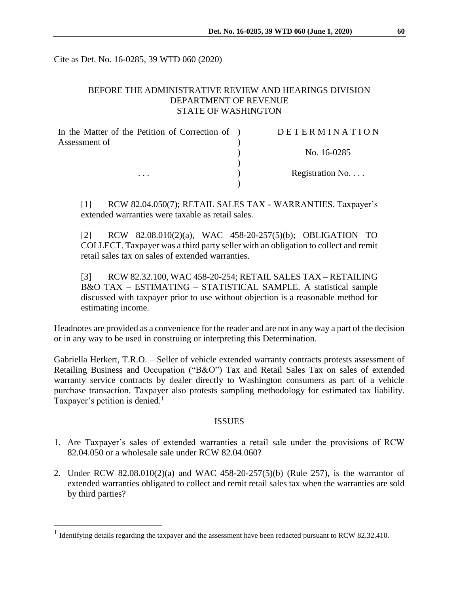Cite as Det. No. 16-0285, 39 WTD 060 (2020)

# BEFORE THE ADMINISTRATIVE REVIEW AND HEARINGS DIVISION DEPARTMENT OF REVENUE STATE OF WASHINGTON

| In the Matter of the Petition of Correction of ) | DETERMINATION   |
|--------------------------------------------------|-----------------|
| Assessment of                                    |                 |
|                                                  | No. 16-0285     |
|                                                  |                 |
| $\cdots$                                         | Registration No |
|                                                  |                 |

[1] RCW 82.04.050(7); RETAIL SALES TAX - WARRANTIES. Taxpayer's extended warranties were taxable as retail sales.

[2] RCW 82.08.010(2)(a), WAC 458-20-257(5)(b); OBLIGATION TO COLLECT. Taxpayer was a third party seller with an obligation to collect and remit retail sales tax on sales of extended warranties.

[3] RCW 82.32.100, WAC 458-20-254; RETAIL SALES TAX – RETAILING B&O TAX – ESTIMATING – STATISTICAL SAMPLE. A statistical sample discussed with taxpayer prior to use without objection is a reasonable method for estimating income.

Headnotes are provided as a convenience for the reader and are not in any way a part of the decision or in any way to be used in construing or interpreting this Determination.

Gabriella Herkert, T.R.O. – Seller of vehicle extended warranty contracts protests assessment of Retailing Business and Occupation ("B&O") Tax and Retail Sales Tax on sales of extended warranty service contracts by dealer directly to Washington consumers as part of a vehicle purchase transaction. Taxpayer also protests sampling methodology for estimated tax liability. Taxpayer's petition is denied.<sup>1</sup>

#### **ISSUES**

- 1. Are Taxpayer's sales of extended warranties a retail sale under the provisions of RCW 82.04.050 or a wholesale sale under RCW 82.04.060?
- 2. Under RCW 82.08.010(2)(a) and WAC 458-20-257(5)(b) (Rule 257), is the warrantor of extended warranties obligated to collect and remit retail sales tax when the warranties are sold by third parties?

<sup>&</sup>lt;sup>1</sup> Identifying details regarding the taxpayer and the assessment have been redacted pursuant to RCW 82.32.410.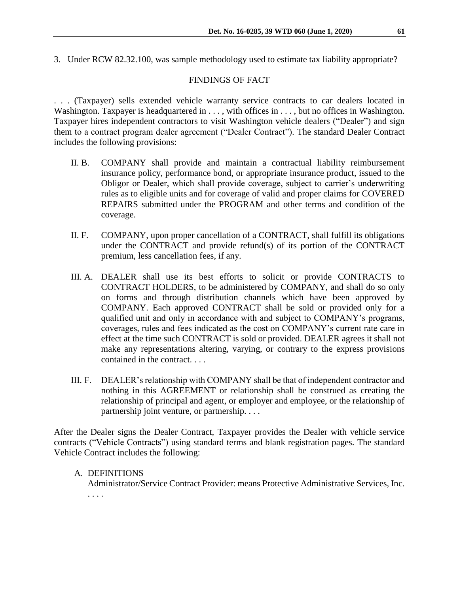3. Under RCW 82.32.100, was sample methodology used to estimate tax liability appropriate?

# FINDINGS OF FACT

. . . (Taxpayer) sells extended vehicle warranty service contracts to car dealers located in Washington. Taxpayer is headquartered in . . . , with offices in . . . , but no offices in Washington. Taxpayer hires independent contractors to visit Washington vehicle dealers ("Dealer") and sign them to a contract program dealer agreement ("Dealer Contract"). The standard Dealer Contract includes the following provisions:

- II. B. COMPANY shall provide and maintain a contractual liability reimbursement insurance policy, performance bond, or appropriate insurance product, issued to the Obligor or Dealer, which shall provide coverage, subject to carrier's underwriting rules as to eligible units and for coverage of valid and proper claims for COVERED REPAIRS submitted under the PROGRAM and other terms and condition of the coverage.
- II. F. COMPANY, upon proper cancellation of a CONTRACT, shall fulfill its obligations under the CONTRACT and provide refund(s) of its portion of the CONTRACT premium, less cancellation fees, if any.
- III. A. DEALER shall use its best efforts to solicit or provide CONTRACTS to CONTRACT HOLDERS, to be administered by COMPANY, and shall do so only on forms and through distribution channels which have been approved by COMPANY. Each approved CONTRACT shall be sold or provided only for a qualified unit and only in accordance with and subject to COMPANY's programs, coverages, rules and fees indicated as the cost on COMPANY's current rate care in effect at the time such CONTRACT is sold or provided. DEALER agrees it shall not make any representations altering, varying, or contrary to the express provisions contained in the contract. . . .
- III. F. DEALER's relationship with COMPANY shall be that of independent contractor and nothing in this AGREEMENT or relationship shall be construed as creating the relationship of principal and agent, or employer and employee, or the relationship of partnership joint venture, or partnership. . . .

After the Dealer signs the Dealer Contract, Taxpayer provides the Dealer with vehicle service contracts ("Vehicle Contracts") using standard terms and blank registration pages. The standard Vehicle Contract includes the following:

# A. DEFINITIONS

Administrator/Service Contract Provider: means Protective Administrative Services, Inc. . . . .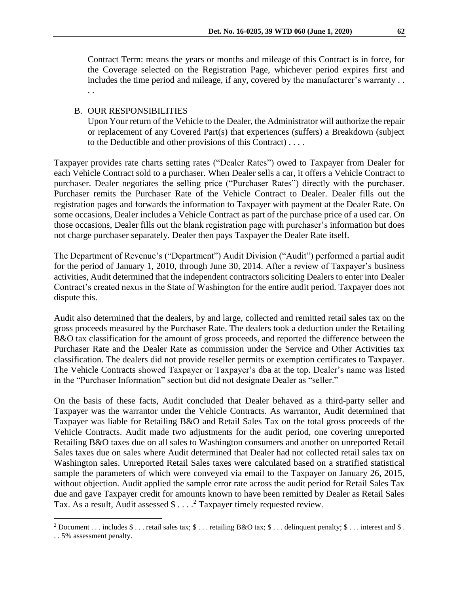Contract Term: means the years or months and mileage of this Contract is in force, for the Coverage selected on the Registration Page, whichever period expires first and includes the time period and mileage, if any, covered by the manufacturer's warranty . . . .

### B. OUR RESPONSIBILITIES

Upon Your return of the Vehicle to the Dealer, the Administrator will authorize the repair or replacement of any Covered Part(s) that experiences (suffers) a Breakdown (subject to the Deductible and other provisions of this Contract) . . . .

Taxpayer provides rate charts setting rates ("Dealer Rates") owed to Taxpayer from Dealer for each Vehicle Contract sold to a purchaser. When Dealer sells a car, it offers a Vehicle Contract to purchaser. Dealer negotiates the selling price ("Purchaser Rates") directly with the purchaser. Purchaser remits the Purchaser Rate of the Vehicle Contract to Dealer. Dealer fills out the registration pages and forwards the information to Taxpayer with payment at the Dealer Rate. On some occasions, Dealer includes a Vehicle Contract as part of the purchase price of a used car. On those occasions, Dealer fills out the blank registration page with purchaser's information but does not charge purchaser separately. Dealer then pays Taxpayer the Dealer Rate itself.

The Department of Revenue's ("Department") Audit Division ("Audit") performed a partial audit for the period of January 1, 2010, through June 30, 2014. After a review of Taxpayer's business activities, Audit determined that the independent contractors soliciting Dealers to enter into Dealer Contract's created nexus in the State of Washington for the entire audit period. Taxpayer does not dispute this.

Audit also determined that the dealers, by and large, collected and remitted retail sales tax on the gross proceeds measured by the Purchaser Rate. The dealers took a deduction under the Retailing B&O tax classification for the amount of gross proceeds, and reported the difference between the Purchaser Rate and the Dealer Rate as commission under the Service and Other Activities tax classification. The dealers did not provide reseller permits or exemption certificates to Taxpayer. The Vehicle Contracts showed Taxpayer or Taxpayer's dba at the top. Dealer's name was listed in the "Purchaser Information" section but did not designate Dealer as "seller."

On the basis of these facts, Audit concluded that Dealer behaved as a third-party seller and Taxpayer was the warrantor under the Vehicle Contracts. As warrantor, Audit determined that Taxpayer was liable for Retailing B&O and Retail Sales Tax on the total gross proceeds of the Vehicle Contracts. Audit made two adjustments for the audit period, one covering unreported Retailing B&O taxes due on all sales to Washington consumers and another on unreported Retail Sales taxes due on sales where Audit determined that Dealer had not collected retail sales tax on Washington sales. Unreported Retail Sales taxes were calculated based on a stratified statistical sample the parameters of which were conveyed via email to the Taxpayer on January 26, 2015, without objection. Audit applied the sample error rate across the audit period for Retail Sales Tax due and gave Taxpayer credit for amounts known to have been remitted by Dealer as Retail Sales Tax. As a result, Audit assessed  $\frac{1}{2}$ ...<sup>2</sup> Taxpayer timely requested review.

<sup>&</sup>lt;sup>2</sup> Document . . . includes \$ . . . retail sales tax; \$ . . . retailing B&O tax; \$ . . . delinquent penalty; \$ . . . interest and \$ .

<sup>. . 5%</sup> assessment penalty.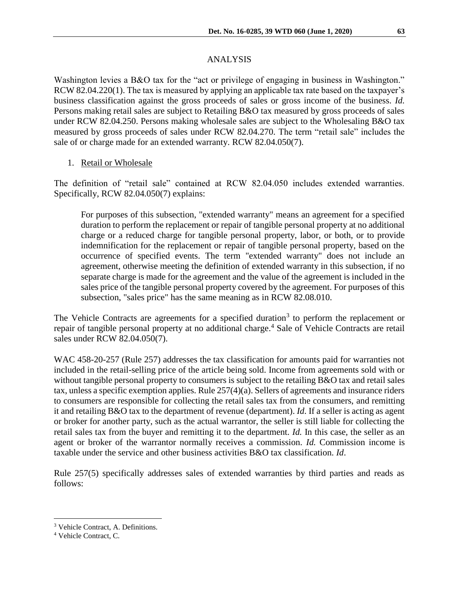Washington levies a B&O tax for the "act or privilege of engaging in business in Washington." RCW 82.04.220(1). The tax is measured by applying an applicable tax rate based on the taxpayer's business classification against the gross proceeds of sales or gross income of the business. *Id.* Persons making retail sales are subject to Retailing B&O tax measured by gross proceeds of sales under RCW 82.04.250. Persons making wholesale sales are subject to the Wholesaling B&O tax measured by gross proceeds of sales under RCW 82.04.270. The term "retail sale" includes the sale of or charge made for an extended warranty. RCW 82.04.050(7).

### 1. Retail or Wholesale

The definition of "retail sale" contained at RCW 82.04.050 includes extended warranties. Specifically, RCW 82.04.050(7) explains:

For purposes of this subsection, "extended warranty" means an agreement for a specified duration to perform the replacement or repair of tangible personal property at no additional charge or a reduced charge for tangible personal property, labor, or both, or to provide indemnification for the replacement or repair of tangible personal property, based on the occurrence of specified events. The term "extended warranty" does not include an agreement, otherwise meeting the definition of extended warranty in this subsection, if no separate charge is made for the agreement and the value of the agreement is included in the sales price of the tangible personal property covered by the agreement. For purposes of this subsection, "sales price" has the same meaning as in RCW 82.08.010.

The Vehicle Contracts are agreements for a specified duration<sup>3</sup> to perform the replacement or repair of tangible personal property at no additional charge. <sup>4</sup> Sale of Vehicle Contracts are retail sales under RCW 82.04.050(7).

WAC 458-20-257 (Rule 257) addresses the tax classification for amounts paid for warranties not included in the retail-selling price of the article being sold. Income from agreements sold with or without tangible personal property to consumers is subject to the retailing B&O tax and retail sales tax, unless a specific exemption applies. Rule 257(4)(a). Sellers of agreements and insurance riders to consumers are responsible for collecting the retail sales tax from the consumers, and remitting it and retailing B&O tax to the department of revenue (department). *Id*. If a seller is acting as agent or broker for another party, such as the actual warrantor, the seller is still liable for collecting the retail sales tax from the buyer and remitting it to the department. *Id.* In this case, the seller as an agent or broker of the warrantor normally receives a commission. *Id.* Commission income is taxable under the service and other business activities B&O tax classification. *Id*.

Rule 257(5) specifically addresses sales of extended warranties by third parties and reads as follows:

<sup>3</sup> Vehicle Contract, A. Definitions.

<sup>4</sup> Vehicle Contract, C.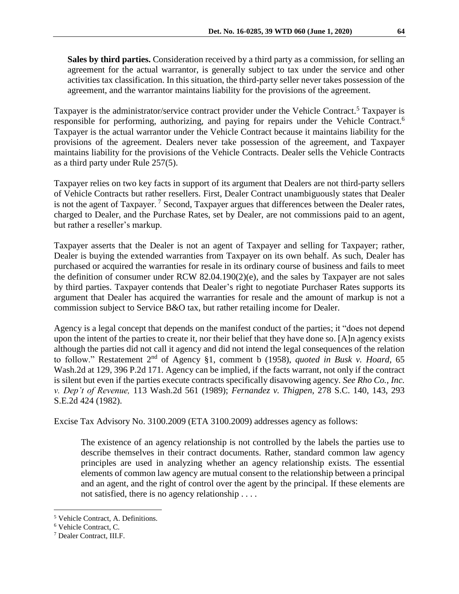**Sales by third parties.** Consideration received by a third party as a commission, for selling an agreement for the actual warrantor, is generally subject to tax under the service and other activities tax classification. In this situation, the third-party seller never takes possession of the agreement, and the warrantor maintains liability for the provisions of the agreement.

Taxpayer is the administrator/service contract provider under the Vehicle Contract.<sup>5</sup> Taxpayer is responsible for performing, authorizing, and paying for repairs under the Vehicle Contract.<sup>6</sup> Taxpayer is the actual warrantor under the Vehicle Contract because it maintains liability for the provisions of the agreement. Dealers never take possession of the agreement, and Taxpayer maintains liability for the provisions of the Vehicle Contracts. Dealer sells the Vehicle Contracts as a third party under Rule 257(5).

Taxpayer relies on two key facts in support of its argument that Dealers are not third-party sellers of Vehicle Contracts but rather resellers. First, Dealer Contract unambiguously states that Dealer is not the agent of Taxpayer.<sup>7</sup> Second, Taxpayer argues that differences between the Dealer rates, charged to Dealer, and the Purchase Rates, set by Dealer, are not commissions paid to an agent, but rather a reseller's markup.

Taxpayer asserts that the Dealer is not an agent of Taxpayer and selling for Taxpayer; rather, Dealer is buying the extended warranties from Taxpayer on its own behalf. As such, Dealer has purchased or acquired the warranties for resale in its ordinary course of business and fails to meet the definition of consumer under RCW 82.04.190(2)(e), and the sales by Taxpayer are not sales by third parties. Taxpayer contends that Dealer's right to negotiate Purchaser Rates supports its argument that Dealer has acquired the warranties for resale and the amount of markup is not a commission subject to Service B&O tax, but rather retailing income for Dealer.

Agency is a legal concept that depends on the manifest conduct of the parties; it "does not depend upon the intent of the parties to create it, nor their belief that they have done so. [A]n agency exists although the parties did not call it agency and did not intend the legal consequences of the relation to follow." Restatement 2nd of Agency §1, comment b (1958), *quoted in Busk v. Hoard,* 65 Wash.2d at 129, 396 P.2d 171. Agency can be implied, if the facts warrant, not only if the contract is silent but even if the parties execute contracts specifically disavowing agency. *See Rho Co., Inc. v. Dep't of Revenue,* 113 Wash.2d 561 (1989); *Fernandez v. Thigpen*, 278 S.C. 140, 143, 293 S.E.2d 424 (1982).

Excise Tax Advisory No. 3100.2009 (ETA 3100.2009) addresses agency as follows:

The existence of an agency relationship is not controlled by the labels the parties use to describe themselves in their contract documents. Rather, standard common law agency principles are used in analyzing whether an agency relationship exists. The essential elements of common law agency are mutual consent to the relationship between a principal and an agent, and the right of control over the agent by the principal. If these elements are not satisfied, there is no agency relationship . . . .

<sup>5</sup> Vehicle Contract, A. Definitions.

<sup>6</sup> Vehicle Contract, C.

<sup>7</sup> Dealer Contract, III.F.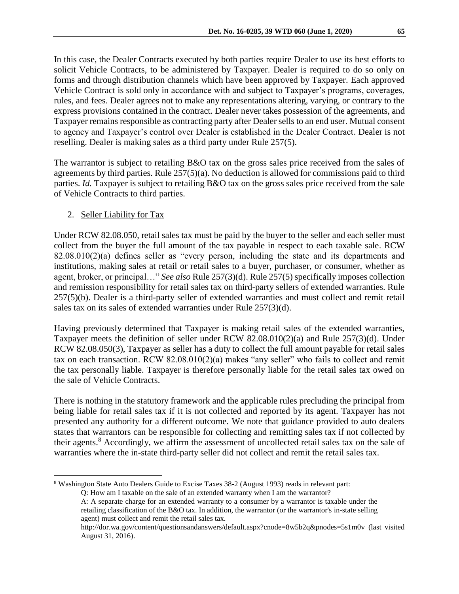In this case, the Dealer Contracts executed by both parties require Dealer to use its best efforts to solicit Vehicle Contracts, to be administered by Taxpayer. Dealer is required to do so only on forms and through distribution channels which have been approved by Taxpayer. Each approved Vehicle Contract is sold only in accordance with and subject to Taxpayer's programs, coverages, rules, and fees. Dealer agrees not to make any representations altering, varying, or contrary to the express provisions contained in the contract. Dealer never takes possession of the agreements, and Taxpayer remains responsible as contracting party after Dealer sells to an end user. Mutual consent to agency and Taxpayer's control over Dealer is established in the Dealer Contract. Dealer is not reselling. Dealer is making sales as a third party under Rule 257(5).

The warrantor is subject to retailing B&O tax on the gross sales price received from the sales of agreements by third parties. Rule 257(5)(a). No deduction is allowed for commissions paid to third parties. *Id.* Taxpayer is subject to retailing B&O tax on the gross sales price received from the sale of Vehicle Contracts to third parties.

# 2. Seller Liability for Tax

Under RCW 82.08.050, retail sales tax must be paid by the buyer to the seller and each seller must collect from the buyer the full amount of the tax payable in respect to each taxable sale. RCW 82.08.010(2)(a) defines seller as "every person, including the state and its departments and institutions, making sales at retail or retail sales to a buyer, purchaser, or consumer, whether as agent, broker, or principal…" *See also* Rule 257(3)(d). Rule 257(5) specifically imposes collection and remission responsibility for retail sales tax on third-party sellers of extended warranties. Rule 257(5)(b). Dealer is a third-party seller of extended warranties and must collect and remit retail sales tax on its sales of extended warranties under Rule 257(3)(d).

Having previously determined that Taxpayer is making retail sales of the extended warranties, Taxpayer meets the definition of seller under RCW 82.08.010(2)(a) and Rule 257(3)(d). Under RCW 82.08.050(3), Taxpayer as seller has a duty to collect the full amount payable for retail sales tax on each transaction. RCW 82.08.010(2)(a) makes "any seller" who fails to collect and remit the tax personally liable. Taxpayer is therefore personally liable for the retail sales tax owed on the sale of Vehicle Contracts.

There is nothing in the statutory framework and the applicable rules precluding the principal from being liable for retail sales tax if it is not collected and reported by its agent. Taxpayer has not presented any authority for a different outcome. We note that guidance provided to auto dealers states that warrantors can be responsible for collecting and remitting sales tax if not collected by their agents.<sup>8</sup> Accordingly, we affirm the assessment of uncollected retail sales tax on the sale of warranties where the in-state third-party seller did not collect and remit the retail sales tax.

 $\overline{a}$ <sup>8</sup> Washington State Auto Dealers Guide to Excise Taxes 38-2 (August 1993) reads in relevant part: Q: How am I taxable on the sale of an extended warranty when I am the warrantor?

A: A separate charge for an extended warranty to a consumer by a warrantor is taxable under the retailing classification of the B&O tax. In addition, the warrantor (or the warrantor's in-state selling agent) must collect and remit the retail sales tax.

http://dor.wa.gov/content/questionsandanswers/default.aspx?cnode=8w5b2q&pnodes=5s1m0v (last visited August 31, 2016).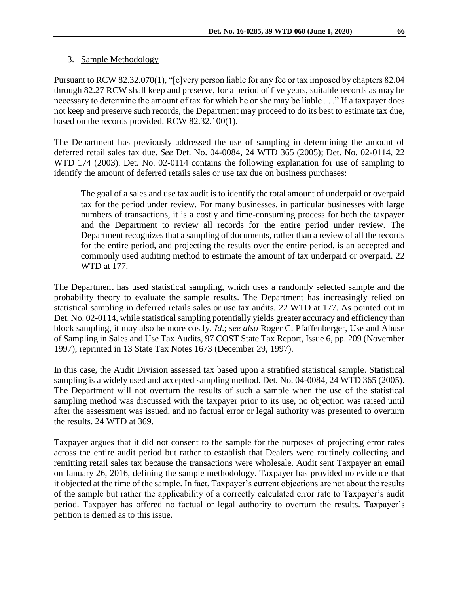#### 3. Sample Methodology

Pursuant to RCW 82.32.070(1), "[e]very person liable for any fee or tax imposed by chapters 82.04 through 82.27 RCW shall keep and preserve, for a period of five years, suitable records as may be necessary to determine the amount of tax for which he or she may be liable . . ." If a taxpayer does not keep and preserve such records, the Department may proceed to do its best to estimate tax due, based on the records provided. RCW 82.32.100(1).

The Department has previously addressed the use of sampling in determining the amount of deferred retail sales tax due. *See* Det. No. 04-0084, 24 WTD 365 (2005); Det. No. 02-0114, 22 WTD 174 (2003). Det. No. 02-0114 contains the following explanation for use of sampling to identify the amount of deferred retails sales or use tax due on business purchases:

The goal of a sales and use tax audit is to identify the total amount of underpaid or overpaid tax for the period under review. For many businesses, in particular businesses with large numbers of transactions, it is a costly and time-consuming process for both the taxpayer and the Department to review all records for the entire period under review. The Department recognizes that a sampling of documents, rather than a review of all the records for the entire period, and projecting the results over the entire period, is an accepted and commonly used auditing method to estimate the amount of tax underpaid or overpaid. 22 WTD at 177.

The Department has used statistical sampling, which uses a randomly selected sample and the probability theory to evaluate the sample results. The Department has increasingly relied on statistical sampling in deferred retails sales or use tax audits. 22 WTD at 177. As pointed out in Det. No. 02-0114, while statistical sampling potentially yields greater accuracy and efficiency than block sampling, it may also be more costly. *Id*.; *see also* Roger C. Pfaffenberger, Use and Abuse of Sampling in Sales and Use Tax Audits, 97 COST State Tax Report, Issue 6, pp. 209 (November 1997), reprinted in 13 State Tax Notes 1673 (December 29, 1997).

In this case, the Audit Division assessed tax based upon a stratified statistical sample. Statistical sampling is a widely used and accepted sampling method. Det. No. 04-0084, 24 WTD 365 (2005). The Department will not overturn the results of such a sample when the use of the statistical sampling method was discussed with the taxpayer prior to its use, no objection was raised until after the assessment was issued, and no factual error or legal authority was presented to overturn the results. 24 WTD at 369.

Taxpayer argues that it did not consent to the sample for the purposes of projecting error rates across the entire audit period but rather to establish that Dealers were routinely collecting and remitting retail sales tax because the transactions were wholesale. Audit sent Taxpayer an email on January 26, 2016, defining the sample methodology. Taxpayer has provided no evidence that it objected at the time of the sample. In fact, Taxpayer's current objections are not about the results of the sample but rather the applicability of a correctly calculated error rate to Taxpayer's audit period. Taxpayer has offered no factual or legal authority to overturn the results. Taxpayer's petition is denied as to this issue.